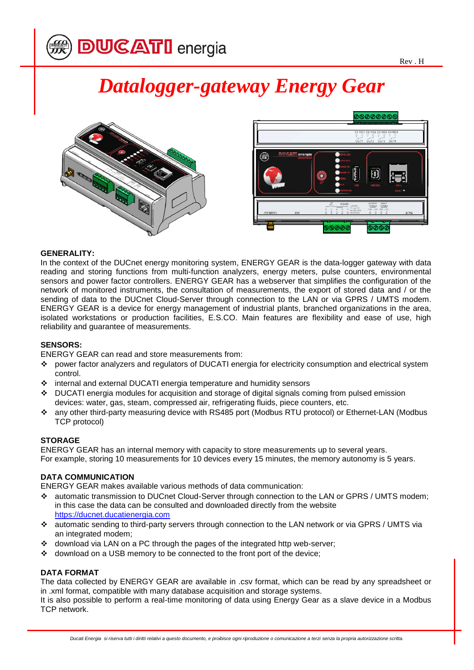# *Datalogger-gateway Energy Gear*





#### **GENERALITY:**

In the context of the DUCnet energy monitoring system, ENERGY GEAR is the data-logger gateway with data reading and storing functions from multi-function analyzers, energy meters, pulse counters, environmental sensors and power factor controllers. ENERGY GEAR has a webserver that simplifies the configuration of the network of monitored instruments, the consultation of measurements, the export of stored data and / or the sending of data to the DUCnet Cloud-Server through connection to the LAN or via GPRS / UMTS modem. ENERGY GEAR is a device for energy management of industrial plants, branched organizations in the area, isolated workstations or production facilities, E.S.CO. Main features are flexibility and ease of use, high reliability and guarantee of measurements.

### **SENSORS:**

ENERGY GEAR can read and store measurements from:

- power factor analyzers and regulators of DUCATI energia for electricity consumption and electrical system control.
- internal and external DUCATI energia temperature and humidity sensors
- DUCATI energia modules for acquisition and storage of digital signals coming from pulsed emission devices: water, gas, steam, compressed air, refrigerating fluids, piece counters, etc.
- any other third-party measuring device with RS485 port (Modbus RTU protocol) or Ethernet-LAN (Modbus TCP protocol)

# **STORAGE**

ENERGY GEAR has an internal memory with capacity to store measurements up to several years. For example, storing 10 measurements for 10 devices every 15 minutes, the memory autonomy is 5 years.

# **DATA COMMUNICATION**

ENERGY GEAR makes available various methods of data communication:

- automatic transmission to DUCnet Cloud-Server through connection to the LAN or GPRS / UMTS modem; in this case the data can be consulted and downloaded directly from the website [https://ducnet.ducatienergia.com](https://ducnet.ducatienergia.com/)
- automatic sending to third-party servers through connection to the LAN network or via GPRS / UMTS via an integrated modem;
- \* download via LAN on a PC through the pages of the integrated http web-server;
- download on a USB memory to be connected to the front port of the device;

#### **DATA FORMAT**

The data collected by ENERGY GEAR are available in .csv format, which can be read by any spreadsheet or in .xml format, compatible with many database acquisition and storage systems.

It is also possible to perform a real-time monitoring of data using Energy Gear as a slave device in a Modbus TCP network.